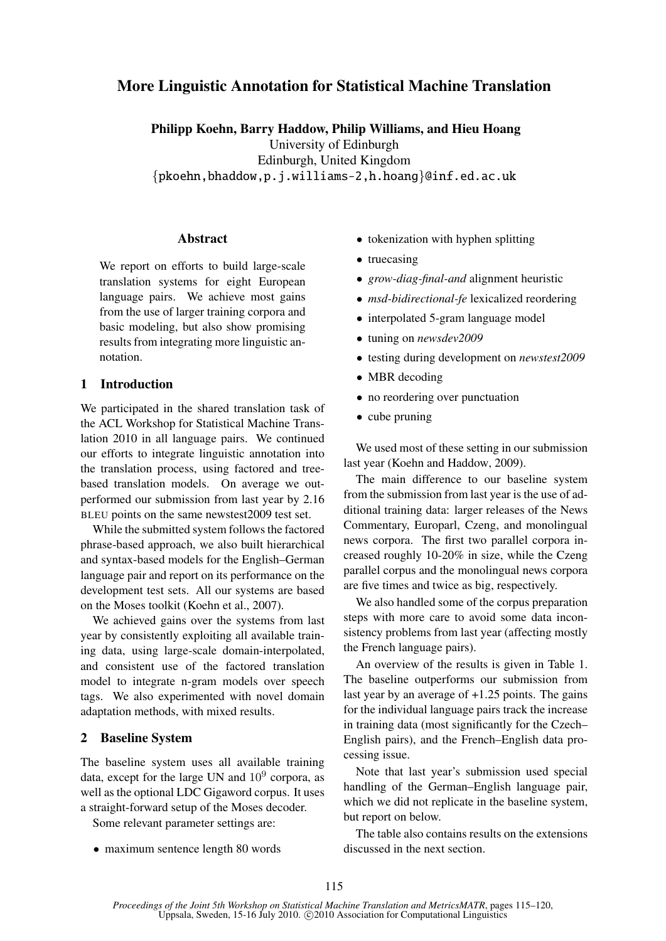# More Linguistic Annotation for Statistical Machine Translation

Philipp Koehn, Barry Haddow, Philip Williams, and Hieu Hoang University of Edinburgh Edinburgh, United Kingdom {pkoehn,bhaddow,p.j.williams-2,h.hoang}@inf.ed.ac.uk

# Abstract

We report on efforts to build large-scale translation systems for eight European language pairs. We achieve most gains from the use of larger training corpora and basic modeling, but also show promising results from integrating more linguistic annotation.

# 1 Introduction

We participated in the shared translation task of the ACL Workshop for Statistical Machine Translation 2010 in all language pairs. We continued our efforts to integrate linguistic annotation into the translation process, using factored and treebased translation models. On average we outperformed our submission from last year by 2.16 BLEU points on the same newstest2009 test set.

While the submitted system follows the factored phrase-based approach, we also built hierarchical and syntax-based models for the English–German language pair and report on its performance on the development test sets. All our systems are based on the Moses toolkit (Koehn et al., 2007).

We achieved gains over the systems from last year by consistently exploiting all available training data, using large-scale domain-interpolated, and consistent use of the factored translation model to integrate n-gram models over speech tags. We also experimented with novel domain adaptation methods, with mixed results.

# 2 Baseline System

The baseline system uses all available training data, except for the large UN and  $10^9$  corpora, as well as the optional LDC Gigaword corpus. It uses a straight-forward setup of the Moses decoder.

Some relevant parameter settings are:

• maximum sentence length 80 words

- tokenization with hyphen splitting
- truecasing
- *grow-diag-final-and* alignment heuristic
- *msd-bidirectional-fe* lexicalized reordering
- interpolated 5-gram language model
- tuning on *newsdev2009*
- testing during development on *newstest2009*
- MBR decoding
- no reordering over punctuation
- cube pruning

We used most of these setting in our submission last year (Koehn and Haddow, 2009).

The main difference to our baseline system from the submission from last year is the use of additional training data: larger releases of the News Commentary, Europarl, Czeng, and monolingual news corpora. The first two parallel corpora increased roughly 10-20% in size, while the Czeng parallel corpus and the monolingual news corpora are five times and twice as big, respectively.

We also handled some of the corpus preparation steps with more care to avoid some data inconsistency problems from last year (affecting mostly the French language pairs).

An overview of the results is given in Table 1. The baseline outperforms our submission from last year by an average of +1.25 points. The gains for the individual language pairs track the increase in training data (most significantly for the Czech– English pairs), and the French–English data processing issue.

Note that last year's submission used special handling of the German–English language pair, which we did not replicate in the baseline system, but report on below.

The table also contains results on the extensions discussed in the next section.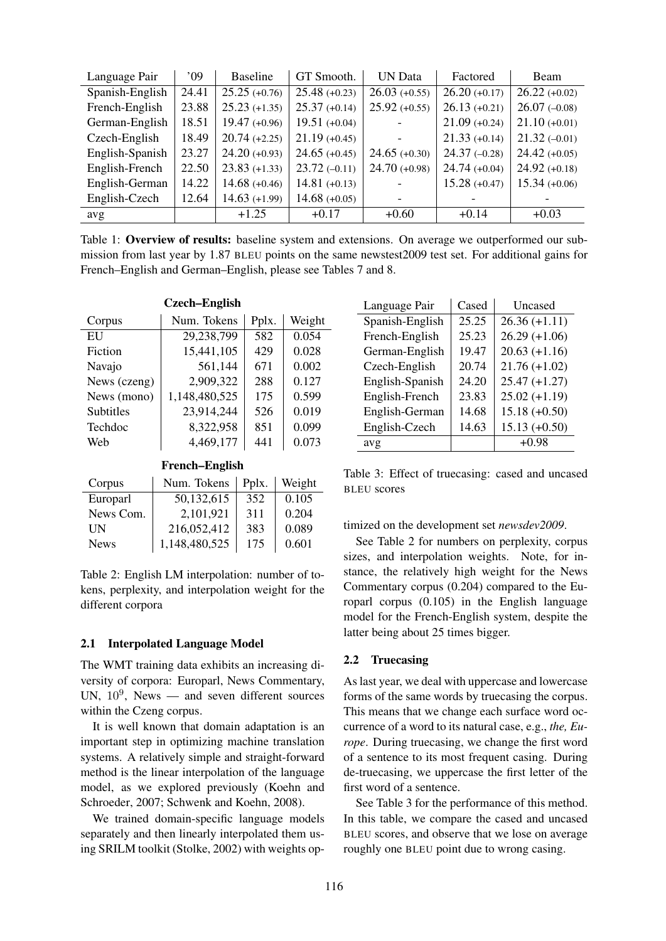| Language Pair   | 09'   | <b>Baseline</b> | GT Smooth.      | <b>UN Data</b>  | Factored        | Beam            |
|-----------------|-------|-----------------|-----------------|-----------------|-----------------|-----------------|
| Spanish-English | 24.41 | $25.25 (+0.76)$ | $25.48 (+0.23)$ | $26.03 (+0.55)$ | $26.20 (+0.17)$ | $26.22(+0.02)$  |
| French-English  | 23.88 | $25.23 (+1.35)$ | $25.37 (+0.14)$ | $25.92 (+0.55)$ | $26.13 (+0.21)$ | $26.07(-0.08)$  |
| German-English  | 18.51 | $19.47 (+0.96)$ | $19.51 (+0.04)$ |                 | $21.09 (+0.24)$ | $21.10 (+0.01)$ |
| Czech-English   | 18.49 | $20.74(+2.25)$  | $21.19 (+0.45)$ |                 | $21.33(+0.14)$  | $21.32(-0.01)$  |
| English-Spanish | 23.27 | $24.20 (+0.93)$ | $24.65 (+0.45)$ | $24.65 (+0.30)$ | $24.37(-0.28)$  | $24.42 (+0.05)$ |
| English-French  | 22.50 | $23.83 (+1.33)$ | $23.72(-0.11)$  | $24.70 (+0.98)$ | $24.74(+0.04)$  | $24.92(+0.18)$  |
| English-German  | 14.22 | $14.68 (+0.46)$ | $14.81 (+0.13)$ |                 | $15.28(+0.47)$  | $15.34 (+0.06)$ |
| English-Czech   | 12.64 | $14.63 (+1.99)$ | $14.68 (+0.05)$ |                 |                 |                 |
| avg             |       | $+1.25$         | $+0.17$         | $+0.60$         | $+0.14$         | $+0.03$         |

Table 1: Overview of results: baseline system and extensions. On average we outperformed our submission from last year by 1.87 BLEU points on the same newstest2009 test set. For additional gains for French–English and German–English, please see Tables 7 and 8.

| <b>Czech-English</b> |               |       |        |  |
|----------------------|---------------|-------|--------|--|
| Corpus               | Num. Tokens   | Pplx. | Weight |  |
| EU                   | 29,238,799    | 582   | 0.054  |  |
| Fiction              | 15,441,105    | 429   | 0.028  |  |
| Navajo               | 561,144       | 671   | 0.002  |  |
| News (czeng)         | 2,909,322     | 288   | 0.127  |  |
| News (mono)          | 1,148,480,525 | 175   | 0.599  |  |
| <b>Subtitles</b>     | 23,914,244    | 526   | 0.019  |  |
| Techdoc              | 8,322,958     | 851   | 0.099  |  |
| Web                  | 4,469,177     | 441   | 0.073  |  |
|                      |               |       |        |  |

French–English

| Corpus      | Num. Tokens   | Pplx. | Weight |
|-------------|---------------|-------|--------|
| Europarl    | 50,132,615    | 352   | 0.105  |
| News Com.   | 2,101,921     | 311   | 0.204  |
| UN          | 216,052,412   | 383   | 0.089  |
| <b>News</b> | 1,148,480,525 | 175   | 0.601  |

Table 2: English LM interpolation: number of tokens, perplexity, and interpolation weight for the different corpora

## 2.1 Interpolated Language Model

The WMT training data exhibits an increasing diversity of corpora: Europarl, News Commentary, UN,  $10^9$ , News — and seven different sources within the Czeng corpus.

It is well known that domain adaptation is an important step in optimizing machine translation systems. A relatively simple and straight-forward method is the linear interpolation of the language model, as we explored previously (Koehn and Schroeder, 2007; Schwenk and Koehn, 2008).

We trained domain-specific language models separately and then linearly interpolated them using SRILM toolkit (Stolke, 2002) with weights op-

| Language Pair   | Cased | Uncased         |
|-----------------|-------|-----------------|
| Spanish-English | 25.25 | $26.36(+1.11)$  |
| French-English  | 25.23 | $26.29 (+1.06)$ |
| German-English  | 19.47 | $20.63 (+1.16)$ |
| Czech-English   | 20.74 | $21.76(+1.02)$  |
| English-Spanish | 24.20 | $25.47 (+1.27)$ |
| English-French  | 23.83 | $25.02 (+1.19)$ |
| English-German  | 14.68 | $15.18 (+0.50)$ |
| English-Czech   | 14.63 | $15.13 (+0.50)$ |
| avg             |       | $+0.98$         |

Table 3: Effect of truecasing: cased and uncased BLEU scores

timized on the development set *newsdev2009*.

See Table 2 for numbers on perplexity, corpus sizes, and interpolation weights. Note, for instance, the relatively high weight for the News Commentary corpus (0.204) compared to the Europarl corpus (0.105) in the English language model for the French-English system, despite the latter being about 25 times bigger.

# 2.2 Truecasing

As last year, we deal with uppercase and lowercase forms of the same words by truecasing the corpus. This means that we change each surface word occurrence of a word to its natural case, e.g., *the, Europe*. During truecasing, we change the first word of a sentence to its most frequent casing. During de-truecasing, we uppercase the first letter of the first word of a sentence.

See Table 3 for the performance of this method. In this table, we compare the cased and uncased BLEU scores, and observe that we lose on average roughly one BLEU point due to wrong casing.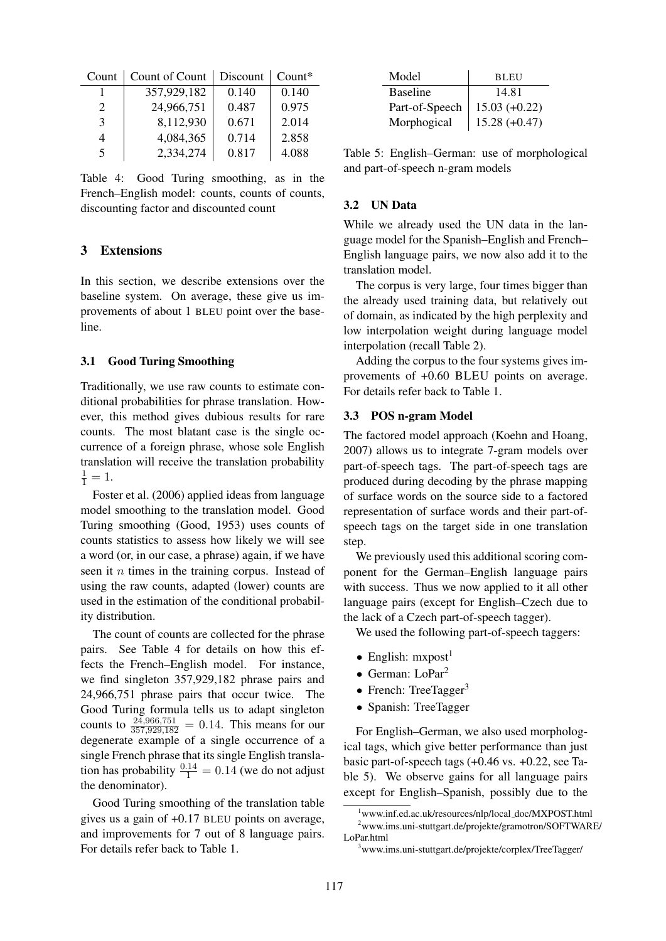| Count                       | Count of Count | Discount | $Count*$ |
|-----------------------------|----------------|----------|----------|
|                             | 357,929,182    | 0.140    | 0.140    |
| $\mathcal{D}_{\mathcal{L}}$ | 24,966,751     | 0.487    | 0.975    |
| $\mathcal{E}$               | 8,112,930      | 0.671    | 2.014    |
| 4                           | 4,084,365      | 0.714    | 2.858    |
| 5                           | 2,334,274      | 0.817    | 4.088    |

Table 4: Good Turing smoothing, as in the French–English model: counts, counts of counts, discounting factor and discounted count

# 3 Extensions

In this section, we describe extensions over the baseline system. On average, these give us improvements of about 1 BLEU point over the baseline.

## 3.1 Good Turing Smoothing

Traditionally, we use raw counts to estimate conditional probabilities for phrase translation. However, this method gives dubious results for rare counts. The most blatant case is the single occurrence of a foreign phrase, whose sole English translation will receive the translation probability  $\frac{1}{1} = 1.$ 

Foster et al. (2006) applied ideas from language model smoothing to the translation model. Good Turing smoothing (Good, 1953) uses counts of counts statistics to assess how likely we will see a word (or, in our case, a phrase) again, if we have seen it *n* times in the training corpus. Instead of using the raw counts, adapted (lower) counts are used in the estimation of the conditional probability distribution.

The count of counts are collected for the phrase pairs. See Table 4 for details on how this effects the French–English model. For instance, we find singleton 357,929,182 phrase pairs and 24,966,751 phrase pairs that occur twice. The Good Turing formula tells us to adapt singleton counts to  $\frac{24,966,751}{357,929,182} = 0.14$ . This means for our degenerate example of a single occurrence of a single French phrase that its single English translation has probability  $\frac{0.14}{1} = 0.14$  (we do not adjust the denominator).

Good Turing smoothing of the translation table gives us a gain of +0.17 BLEU points on average, and improvements for 7 out of 8 language pairs. For details refer back to Table 1.

| Model           | BL EU           |
|-----------------|-----------------|
| <b>Baseline</b> | 14.81           |
| Part-of-Speech  | $15.03 (+0.22)$ |
| Morphogical     | $15.28 (+0.47)$ |

Table 5: English–German: use of morphological and part-of-speech n-gram models

## 3.2 UN Data

While we already used the UN data in the language model for the Spanish–English and French– English language pairs, we now also add it to the translation model.

The corpus is very large, four times bigger than the already used training data, but relatively out of domain, as indicated by the high perplexity and low interpolation weight during language model interpolation (recall Table 2).

Adding the corpus to the four systems gives improvements of +0.60 BLEU points on average. For details refer back to Table 1.

## 3.3 POS n-gram Model

The factored model approach (Koehn and Hoang, 2007) allows us to integrate 7-gram models over part-of-speech tags. The part-of-speech tags are produced during decoding by the phrase mapping of surface words on the source side to a factored representation of surface words and their part-ofspeech tags on the target side in one translation step.

We previously used this additional scoring component for the German–English language pairs with success. Thus we now applied to it all other language pairs (except for English–Czech due to the lack of a Czech part-of-speech tagger).

We used the following part-of-speech taggers:

- English:  $mxpost<sup>1</sup>$
- German: LoPar<sup>2</sup>
- French: TreeTagger $3$
- Spanish: TreeTagger

For English–German, we also used morphological tags, which give better performance than just basic part-of-speech tags (+0.46 vs. +0.22, see Table 5). We observe gains for all language pairs except for English–Spanish, possibly due to the

<sup>&</sup>lt;sup>1</sup>www.inf.ed.ac.uk/resources/nlp/local\_doc/MXPOST.html <sup>2</sup>www.ims.uni-stuttgart.de/projekte/gramotron/SOFTWARE/ LoPar.html

<sup>3</sup>www.ims.uni-stuttgart.de/projekte/corplex/TreeTagger/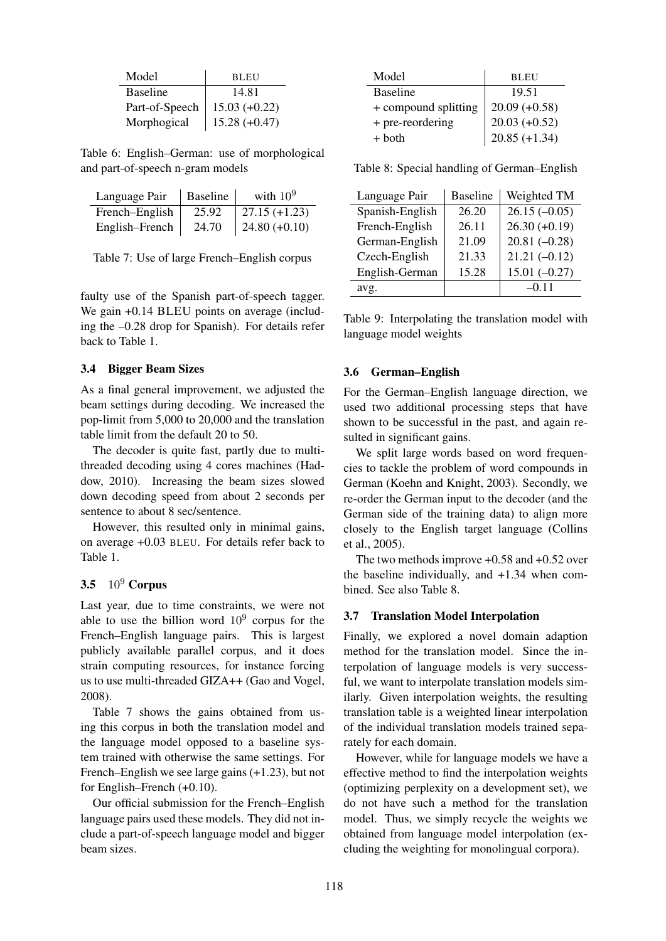| Model           | <b>BLEU</b>     |
|-----------------|-----------------|
| <b>Baseline</b> | 14.81           |
| Part-of-Speech  | $15.03 (+0.22)$ |
| Morphogical     | $15.28 (+0.47)$ |

Table 6: English–German: use of morphological and part-of-speech n-gram models

| Language Pair  | <b>Baseline</b> | with $10^9$     |
|----------------|-----------------|-----------------|
| French-English | 25.92           | 27.15 $(+1.23)$ |
| English-French | 24.70           | $24.80 (+0.10)$ |

Table 7: Use of large French–English corpus

faulty use of the Spanish part-of-speech tagger. We gain  $+0.14$  BLEU points on average (including the –0.28 drop for Spanish). For details refer back to Table 1.

## 3.4 Bigger Beam Sizes

As a final general improvement, we adjusted the beam settings during decoding. We increased the pop-limit from 5,000 to 20,000 and the translation table limit from the default 20 to 50.

The decoder is quite fast, partly due to multithreaded decoding using 4 cores machines (Haddow, 2010). Increasing the beam sizes slowed down decoding speed from about 2 seconds per sentence to about 8 sec/sentence.

However, this resulted only in minimal gains, on average +0.03 BLEU. For details refer back to Table 1.

# 3.5  $10^9$  Corpus

Last year, due to time constraints, we were not able to use the billion word  $10^9$  corpus for the French–English language pairs. This is largest publicly available parallel corpus, and it does strain computing resources, for instance forcing us to use multi-threaded GIZA++ (Gao and Vogel, 2008).

Table 7 shows the gains obtained from using this corpus in both the translation model and the language model opposed to a baseline system trained with otherwise the same settings. For French–English we see large gains (+1.23), but not for English–French (+0.10).

Our official submission for the French–English language pairs used these models. They did not include a part-of-speech language model and bigger beam sizes.

| Model                | <b>BLEU</b>     |
|----------------------|-----------------|
| <b>Baseline</b>      | 19.51           |
| + compound splitting | $20.09 (+0.58)$ |
| + pre-reordering     | $20.03 (+0.52)$ |
| $+$ both             | $20.85 (+1.34)$ |

Table 8: Special handling of German–English

| Language Pair   | <b>Baseline</b> | Weighted TM     |
|-----------------|-----------------|-----------------|
| Spanish-English | 26.20           | $26.15(-0.05)$  |
| French-English  | 26.11           | $26.30 (+0.19)$ |
| German-English  | 21.09           | $20.81(-0.28)$  |
| Czech-English   | 21.33           | $21.21(-0.12)$  |
| English-German  | 15.28           | $15.01(-0.27)$  |
| avg.            |                 | $-0.11$         |

Table 9: Interpolating the translation model with language model weights

#### 3.6 German–English

For the German–English language direction, we used two additional processing steps that have shown to be successful in the past, and again resulted in significant gains.

We split large words based on word frequencies to tackle the problem of word compounds in German (Koehn and Knight, 2003). Secondly, we re-order the German input to the decoder (and the German side of the training data) to align more closely to the English target language (Collins et al., 2005).

The two methods improve +0.58 and +0.52 over the baseline individually, and +1.34 when combined. See also Table 8.

## 3.7 Translation Model Interpolation

Finally, we explored a novel domain adaption method for the translation model. Since the interpolation of language models is very successful, we want to interpolate translation models similarly. Given interpolation weights, the resulting translation table is a weighted linear interpolation of the individual translation models trained separately for each domain.

However, while for language models we have a effective method to find the interpolation weights (optimizing perplexity on a development set), we do not have such a method for the translation model. Thus, we simply recycle the weights we obtained from language model interpolation (excluding the weighting for monolingual corpora).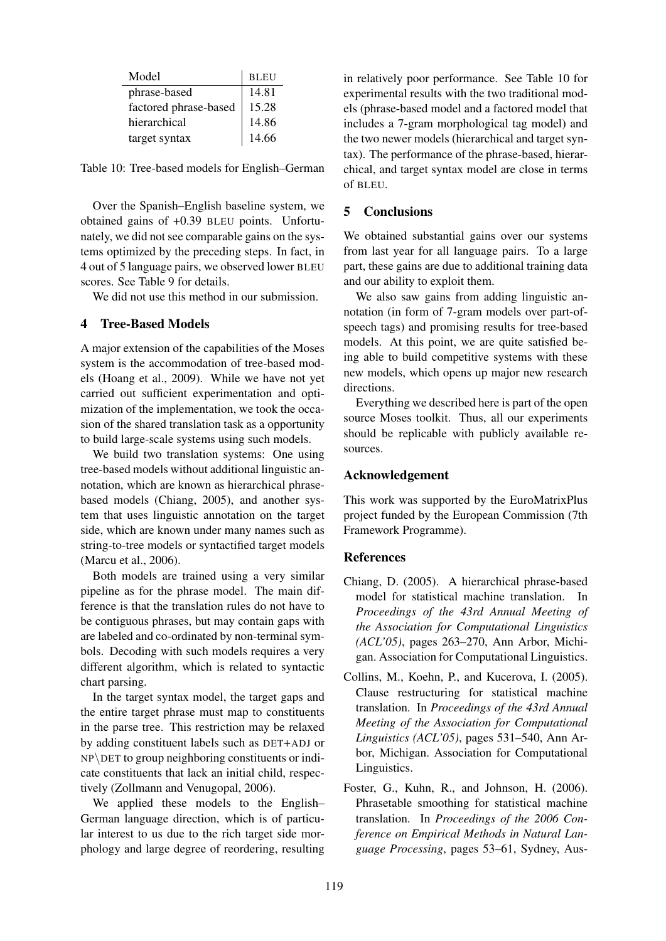| Model                 | <b>BLEU</b> |
|-----------------------|-------------|
| phrase-based          | 14.81       |
| factored phrase-based | 15.28       |
| hierarchical          | 14.86       |
| target syntax         | 14.66       |

Table 10: Tree-based models for English–German

Over the Spanish–English baseline system, we obtained gains of +0.39 BLEU points. Unfortunately, we did not see comparable gains on the systems optimized by the preceding steps. In fact, in 4 out of 5 language pairs, we observed lower BLEU scores. See Table 9 for details.

We did not use this method in our submission.

## 4 Tree-Based Models

A major extension of the capabilities of the Moses system is the accommodation of tree-based models (Hoang et al., 2009). While we have not yet carried out sufficient experimentation and optimization of the implementation, we took the occasion of the shared translation task as a opportunity to build large-scale systems using such models.

We build two translation systems: One using tree-based models without additional linguistic annotation, which are known as hierarchical phrasebased models (Chiang, 2005), and another system that uses linguistic annotation on the target side, which are known under many names such as string-to-tree models or syntactified target models (Marcu et al., 2006).

Both models are trained using a very similar pipeline as for the phrase model. The main difference is that the translation rules do not have to be contiguous phrases, but may contain gaps with are labeled and co-ordinated by non-terminal symbols. Decoding with such models requires a very different algorithm, which is related to syntactic chart parsing.

In the target syntax model, the target gaps and the entire target phrase must map to constituents in the parse tree. This restriction may be relaxed by adding constituent labels such as DET+ADJ or  $NP\$ DET to group neighboring constituents or indicate constituents that lack an initial child, respectively (Zollmann and Venugopal, 2006).

We applied these models to the English– German language direction, which is of particular interest to us due to the rich target side morphology and large degree of reordering, resulting

in relatively poor performance. See Table 10 for experimental results with the two traditional models (phrase-based model and a factored model that includes a 7-gram morphological tag model) and the two newer models (hierarchical and target syntax). The performance of the phrase-based, hierarchical, and target syntax model are close in terms of BLEU.

# 5 Conclusions

We obtained substantial gains over our systems from last year for all language pairs. To a large part, these gains are due to additional training data and our ability to exploit them.

We also saw gains from adding linguistic annotation (in form of 7-gram models over part-ofspeech tags) and promising results for tree-based models. At this point, we are quite satisfied being able to build competitive systems with these new models, which opens up major new research directions.

Everything we described here is part of the open source Moses toolkit. Thus, all our experiments should be replicable with publicly available resources.

## Acknowledgement

This work was supported by the EuroMatrixPlus project funded by the European Commission (7th Framework Programme).

## References

- Chiang, D. (2005). A hierarchical phrase-based model for statistical machine translation. In *Proceedings of the 43rd Annual Meeting of the Association for Computational Linguistics (ACL'05)*, pages 263–270, Ann Arbor, Michigan. Association for Computational Linguistics.
- Collins, M., Koehn, P., and Kucerova, I. (2005). Clause restructuring for statistical machine translation. In *Proceedings of the 43rd Annual Meeting of the Association for Computational Linguistics (ACL'05)*, pages 531–540, Ann Arbor, Michigan. Association for Computational Linguistics.
- Foster, G., Kuhn, R., and Johnson, H. (2006). Phrasetable smoothing for statistical machine translation. In *Proceedings of the 2006 Conference on Empirical Methods in Natural Language Processing*, pages 53–61, Sydney, Aus-